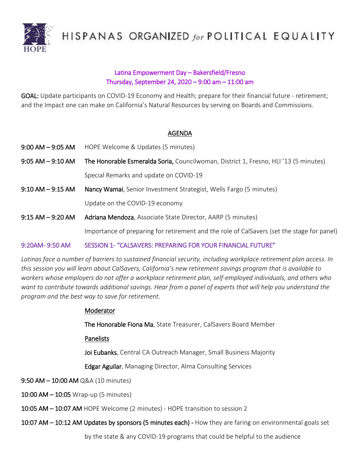

HISPANAS ORGANIZED for POLITICAL EQUALITY

# Latina Empowerment Day – Bakersfield/Fresno Thursday, September 24, 2020 – 9:00 am – 11:00 am

GOAL: Update participants on COVID-19 Economy and Health; prepare for their financial future - retirement; and the Impact one can make on California's Natural Resources by serving on Boards and Commissions.

## AGENDA

- 9:00 AM 9:05 AM HOPE Welcome & Updates (5 minutes)
- 9:05 AM 9:10 AM The Honorable Esmeralda Soria, Councilwoman, District 1, Fresno, HLI '13 (5 minutes) Special Remarks and update on COVID-19
- 9:10 AM 9:15 AM Nancy Wamai, Senior Investment Strategist, Wells Fargo (5 minutes)

Update on the COVID-19 economy

9:15 AM - 9:20 AM Adriana Mendoza, Associate State Director, AARP (5 minutes)

Importance of preparing for retirement and the role of CalSavers (set the stage for panel)

## 9:20AM- 9:50 AM SESSION 1- "CALSAVERS: PREPARING FOR YOUR FINANCIAL FUTURE"

*Latinas face a number of barriers to sustained financial security, including workplace retirement plan access. In this session you will learn about CalSavers, California's new retirement savings program that is available to workers whose employers do not offer a workplace retirement plan, self-employed individuals, and others who want to contribute towards additional savings. Hear from a panel of experts that will help you understand the program and the best way to save for retirement.*

#### Moderator

The Honorable Fiona Ma, State Treasurer, CalSavers Board Member

Panelists

Joi Eubanks, Central CA Outreach Manager, Small Business Majority

Edgar Aguilar, Managing Director, Alma Consulting Services

9:50 AM – 10:00 AM Q&A (10 minutes)

10:00 AM - 10:05 Wrap-up (5 minutes)

10:05 AM – 10:07 AM HOPE Welcome (2 minutes) - HOPE transition to session 2

10:07 AM – 10:12 AM Updates by sponsors (5 minutes each) - How they are faring on environmental goals set

by the state & any COVID-19 programs that could be helpful to the audience